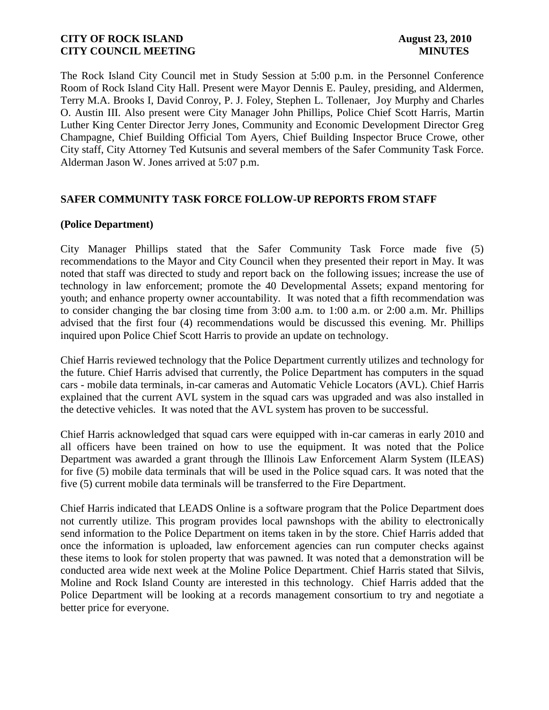The Rock Island City Council met in Study Session at 5:00 p.m. in the Personnel Conference Room of Rock Island City Hall. Present were Mayor Dennis E. Pauley, presiding, and Aldermen, Terry M.A. Brooks I, David Conroy, P. J. Foley, Stephen L. Tollenaer, Joy Murphy and Charles O. Austin III. Also present were City Manager John Phillips, Police Chief Scott Harris, Martin Luther King Center Director Jerry Jones, Community and Economic Development Director Greg Champagne, Chief Building Official Tom Ayers, Chief Building Inspector Bruce Crowe, other City staff, City Attorney Ted Kutsunis and several members of the Safer Community Task Force. Alderman Jason W. Jones arrived at 5:07 p.m.

## **SAFER COMMUNITY TASK FORCE FOLLOW-UP REPORTS FROM STAFF**

### **(Police Department)**

City Manager Phillips stated that the Safer Community Task Force made five (5) recommendations to the Mayor and City Council when they presented their report in May. It was noted that staff was directed to study and report back on the following issues; increase the use of technology in law enforcement; promote the 40 Developmental Assets; expand mentoring for youth; and enhance property owner accountability. It was noted that a fifth recommendation was to consider changing the bar closing time from 3:00 a.m. to 1:00 a.m. or 2:00 a.m. Mr. Phillips advised that the first four (4) recommendations would be discussed this evening. Mr. Phillips inquired upon Police Chief Scott Harris to provide an update on technology.

Chief Harris reviewed technology that the Police Department currently utilizes and technology for the future. Chief Harris advised that currently, the Police Department has computers in the squad cars - mobile data terminals, in-car cameras and Automatic Vehicle Locators (AVL). Chief Harris explained that the current AVL system in the squad cars was upgraded and was also installed in the detective vehicles. It was noted that the AVL system has proven to be successful.

Chief Harris acknowledged that squad cars were equipped with in-car cameras in early 2010 and all officers have been trained on how to use the equipment. It was noted that the Police Department was awarded a grant through the Illinois Law Enforcement Alarm System (ILEAS) for five (5) mobile data terminals that will be used in the Police squad cars. It was noted that the five (5) current mobile data terminals will be transferred to the Fire Department.

Chief Harris indicated that LEADS Online is a software program that the Police Department does not currently utilize. This program provides local pawnshops with the ability to electronically send information to the Police Department on items taken in by the store. Chief Harris added that once the information is uploaded, law enforcement agencies can run computer checks against these items to look for stolen property that was pawned. It was noted that a demonstration will be conducted area wide next week at the Moline Police Department. Chief Harris stated that Silvis, Moline and Rock Island County are interested in this technology. Chief Harris added that the Police Department will be looking at a records management consortium to try and negotiate a better price for everyone.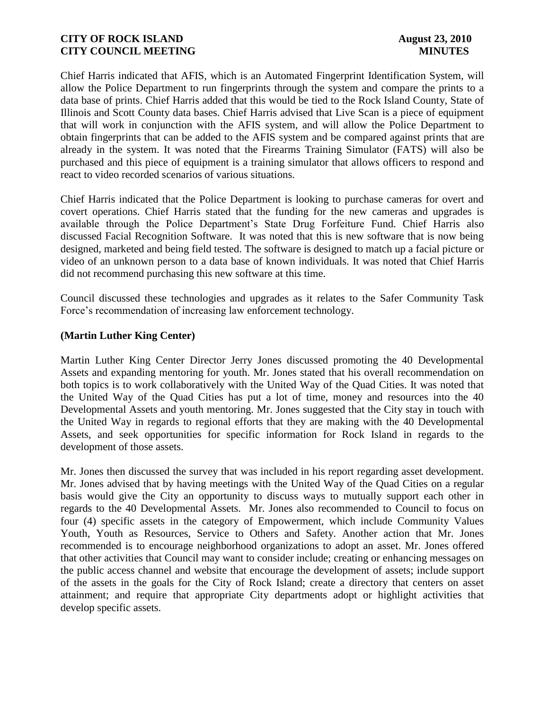Chief Harris indicated that AFIS, which is an Automated Fingerprint Identification System, will allow the Police Department to run fingerprints through the system and compare the prints to a data base of prints. Chief Harris added that this would be tied to the Rock Island County, State of Illinois and Scott County data bases. Chief Harris advised that Live Scan is a piece of equipment that will work in conjunction with the AFIS system, and will allow the Police Department to obtain fingerprints that can be added to the AFIS system and be compared against prints that are already in the system. It was noted that the Firearms Training Simulator (FATS) will also be purchased and this piece of equipment is a training simulator that allows officers to respond and react to video recorded scenarios of various situations.

Chief Harris indicated that the Police Department is looking to purchase cameras for overt and covert operations. Chief Harris stated that the funding for the new cameras and upgrades is available through the Police Department's State Drug Forfeiture Fund. Chief Harris also discussed Facial Recognition Software. It was noted that this is new software that is now being designed, marketed and being field tested. The software is designed to match up a facial picture or video of an unknown person to a data base of known individuals. It was noted that Chief Harris did not recommend purchasing this new software at this time.

Council discussed these technologies and upgrades as it relates to the Safer Community Task Force's recommendation of increasing law enforcement technology.

### **(Martin Luther King Center)**

Martin Luther King Center Director Jerry Jones discussed promoting the 40 Developmental Assets and expanding mentoring for youth. Mr. Jones stated that his overall recommendation on both topics is to work collaboratively with the United Way of the Quad Cities. It was noted that the United Way of the Quad Cities has put a lot of time, money and resources into the 40 Developmental Assets and youth mentoring. Mr. Jones suggested that the City stay in touch with the United Way in regards to regional efforts that they are making with the 40 Developmental Assets, and seek opportunities for specific information for Rock Island in regards to the development of those assets.

Mr. Jones then discussed the survey that was included in his report regarding asset development. Mr. Jones advised that by having meetings with the United Way of the Quad Cities on a regular basis would give the City an opportunity to discuss ways to mutually support each other in regards to the 40 Developmental Assets. Mr. Jones also recommended to Council to focus on four (4) specific assets in the category of Empowerment, which include Community Values Youth, Youth as Resources, Service to Others and Safety. Another action that Mr. Jones recommended is to encourage neighborhood organizations to adopt an asset. Mr. Jones offered that other activities that Council may want to consider include; creating or enhancing messages on the public access channel and website that encourage the development of assets; include support of the assets in the goals for the City of Rock Island; create a directory that centers on asset attainment; and require that appropriate City departments adopt or highlight activities that develop specific assets.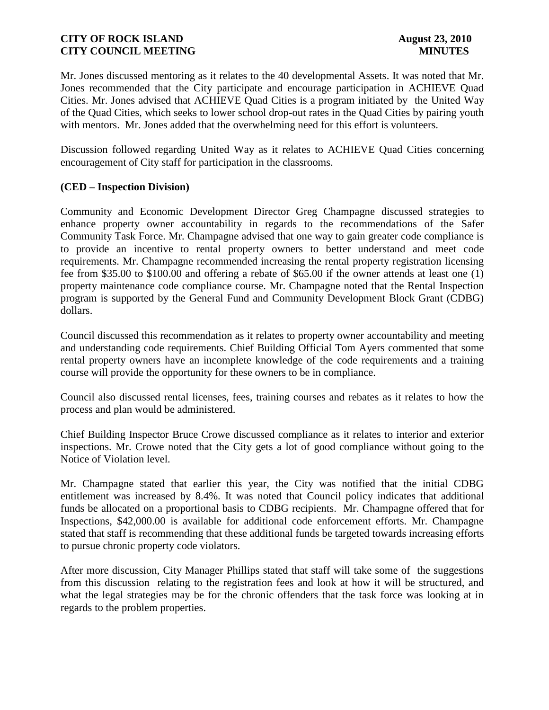Mr. Jones discussed mentoring as it relates to the 40 developmental Assets. It was noted that Mr. Jones recommended that the City participate and encourage participation in ACHIEVE Quad Cities. Mr. Jones advised that ACHIEVE Quad Cities is a program initiated by the United Way of the Quad Cities, which seeks to lower school drop-out rates in the Quad Cities by pairing youth with mentors. Mr. Jones added that the overwhelming need for this effort is volunteers.

Discussion followed regarding United Way as it relates to ACHIEVE Quad Cities concerning encouragement of City staff for participation in the classrooms.

### **(CED – Inspection Division)**

Community and Economic Development Director Greg Champagne discussed strategies to enhance property owner accountability in regards to the recommendations of the Safer Community Task Force. Mr. Champagne advised that one way to gain greater code compliance is to provide an incentive to rental property owners to better understand and meet code requirements. Mr. Champagne recommended increasing the rental property registration licensing fee from \$35.00 to \$100.00 and offering a rebate of \$65.00 if the owner attends at least one (1) property maintenance code compliance course. Mr. Champagne noted that the Rental Inspection program is supported by the General Fund and Community Development Block Grant (CDBG) dollars.

Council discussed this recommendation as it relates to property owner accountability and meeting and understanding code requirements. Chief Building Official Tom Ayers commented that some rental property owners have an incomplete knowledge of the code requirements and a training course will provide the opportunity for these owners to be in compliance.

Council also discussed rental licenses, fees, training courses and rebates as it relates to how the process and plan would be administered.

Chief Building Inspector Bruce Crowe discussed compliance as it relates to interior and exterior inspections. Mr. Crowe noted that the City gets a lot of good compliance without going to the Notice of Violation level.

Mr. Champagne stated that earlier this year, the City was notified that the initial CDBG entitlement was increased by 8.4%. It was noted that Council policy indicates that additional funds be allocated on a proportional basis to CDBG recipients. Mr. Champagne offered that for Inspections, \$42,000.00 is available for additional code enforcement efforts. Mr. Champagne stated that staff is recommending that these additional funds be targeted towards increasing efforts to pursue chronic property code violators.

After more discussion, City Manager Phillips stated that staff will take some of the suggestions from this discussion relating to the registration fees and look at how it will be structured, and what the legal strategies may be for the chronic offenders that the task force was looking at in regards to the problem properties.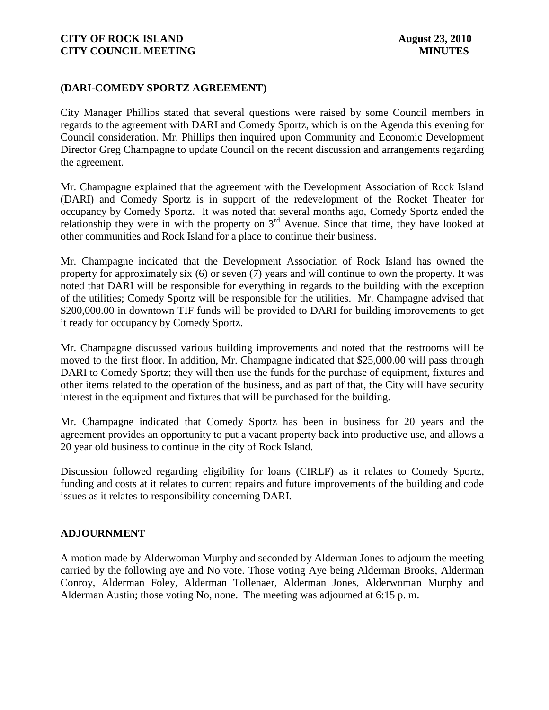## **(DARI-COMEDY SPORTZ AGREEMENT)**

City Manager Phillips stated that several questions were raised by some Council members in regards to the agreement with DARI and Comedy Sportz, which is on the Agenda this evening for Council consideration. Mr. Phillips then inquired upon Community and Economic Development Director Greg Champagne to update Council on the recent discussion and arrangements regarding the agreement.

Mr. Champagne explained that the agreement with the Development Association of Rock Island (DARI) and Comedy Sportz is in support of the redevelopment of the Rocket Theater for occupancy by Comedy Sportz. It was noted that several months ago, Comedy Sportz ended the relationship they were in with the property on  $3<sup>rd</sup>$  Avenue. Since that time, they have looked at other communities and Rock Island for a place to continue their business.

Mr. Champagne indicated that the Development Association of Rock Island has owned the property for approximately six (6) or seven (7) years and will continue to own the property. It was noted that DARI will be responsible for everything in regards to the building with the exception of the utilities; Comedy Sportz will be responsible for the utilities. Mr. Champagne advised that \$200,000.00 in downtown TIF funds will be provided to DARI for building improvements to get it ready for occupancy by Comedy Sportz.

Mr. Champagne discussed various building improvements and noted that the restrooms will be moved to the first floor. In addition, Mr. Champagne indicated that \$25,000.00 will pass through DARI to Comedy Sportz; they will then use the funds for the purchase of equipment, fixtures and other items related to the operation of the business, and as part of that, the City will have security interest in the equipment and fixtures that will be purchased for the building.

Mr. Champagne indicated that Comedy Sportz has been in business for 20 years and the agreement provides an opportunity to put a vacant property back into productive use, and allows a 20 year old business to continue in the city of Rock Island.

Discussion followed regarding eligibility for loans (CIRLF) as it relates to Comedy Sportz, funding and costs at it relates to current repairs and future improvements of the building and code issues as it relates to responsibility concerning DARI.

### **ADJOURNMENT**

A motion made by Alderwoman Murphy and seconded by Alderman Jones to adjourn the meeting carried by the following aye and No vote. Those voting Aye being Alderman Brooks, Alderman Conroy, Alderman Foley, Alderman Tollenaer, Alderman Jones, Alderwoman Murphy and Alderman Austin; those voting No, none. The meeting was adjourned at 6:15 p. m.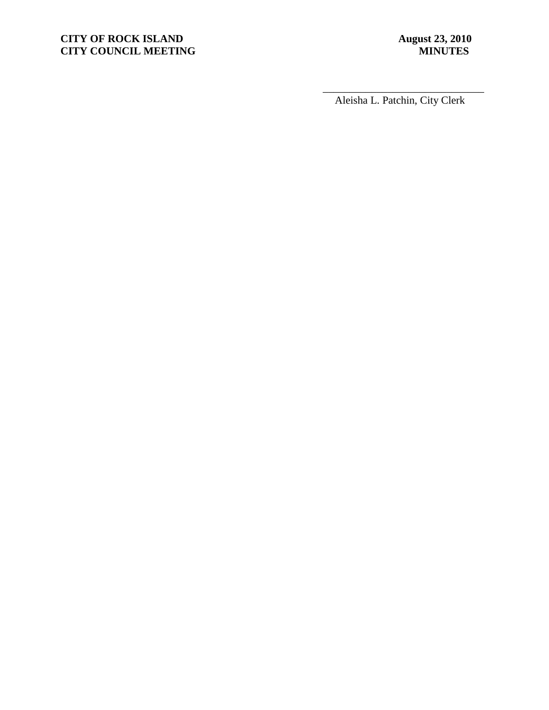# **CITY OF ROCK ISLAND August 23, 2010**<br> **CITY COUNCIL MEETING MINUTES CITY COUNCIL MEETING**

\_\_\_\_\_\_\_\_\_\_\_\_\_\_\_\_\_\_\_\_\_\_\_\_\_\_\_\_\_\_ Aleisha L. Patchin, City Clerk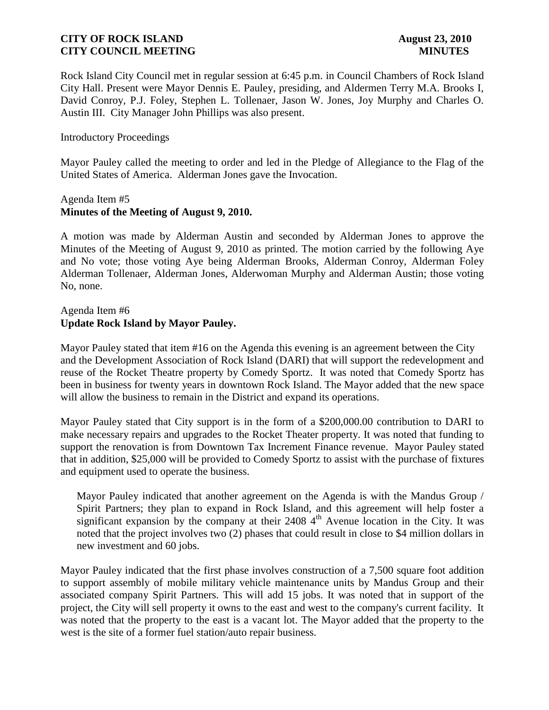Rock Island City Council met in regular session at 6:45 p.m. in Council Chambers of Rock Island City Hall. Present were Mayor Dennis E. Pauley, presiding, and Aldermen Terry M.A. Brooks I, David Conroy, P.J. Foley, Stephen L. Tollenaer, Jason W. Jones, Joy Murphy and Charles O. Austin III. City Manager John Phillips was also present.

#### Introductory Proceedings

Mayor Pauley called the meeting to order and led in the Pledge of Allegiance to the Flag of the United States of America. Alderman Jones gave the Invocation.

#### Agenda Item #5 **Minutes of the Meeting of August 9, 2010.**

A motion was made by Alderman Austin and seconded by Alderman Jones to approve the Minutes of the Meeting of August 9, 2010 as printed. The motion carried by the following Aye and No vote; those voting Aye being Alderman Brooks, Alderman Conroy, Alderman Foley Alderman Tollenaer, Alderman Jones, Alderwoman Murphy and Alderman Austin; those voting No, none.

### Agenda Item #6 **Update Rock Island by Mayor Pauley.**

Mayor Pauley stated that item #16 on the Agenda this evening is an agreement between the City and the Development Association of Rock Island (DARI) that will support the redevelopment and reuse of the Rocket Theatre property by Comedy Sportz. It was noted that Comedy Sportz has been in business for twenty years in downtown Rock Island. The Mayor added that the new space will allow the business to remain in the District and expand its operations.

Mayor Pauley stated that City support is in the form of a \$200,000.00 contribution to DARI to make necessary repairs and upgrades to the Rocket Theater property. It was noted that funding to support the renovation is from Downtown Tax Increment Finance revenue. Mayor Pauley stated that in addition, \$25,000 will be provided to Comedy Sportz to assist with the purchase of fixtures and equipment used to operate the business.

 Mayor Pauley indicated that another agreement on the Agenda is with the Mandus Group / Spirit Partners; they plan to expand in Rock Island, and this agreement will help foster a significant expansion by the company at their  $2408\,4^{\text{th}}$  Avenue location in the City. It was noted that the project involves two (2) phases that could result in close to \$4 million dollars in new investment and 60 jobs.

Mayor Pauley indicated that the first phase involves construction of a 7,500 square foot addition to support assembly of mobile military vehicle maintenance units by Mandus Group and their associated company Spirit Partners. This will add 15 jobs. It was noted that in support of the project, the City will sell property it owns to the east and west to the company's current facility. It was noted that the property to the east is a vacant lot. The Mayor added that the property to the west is the site of a former fuel station/auto repair business.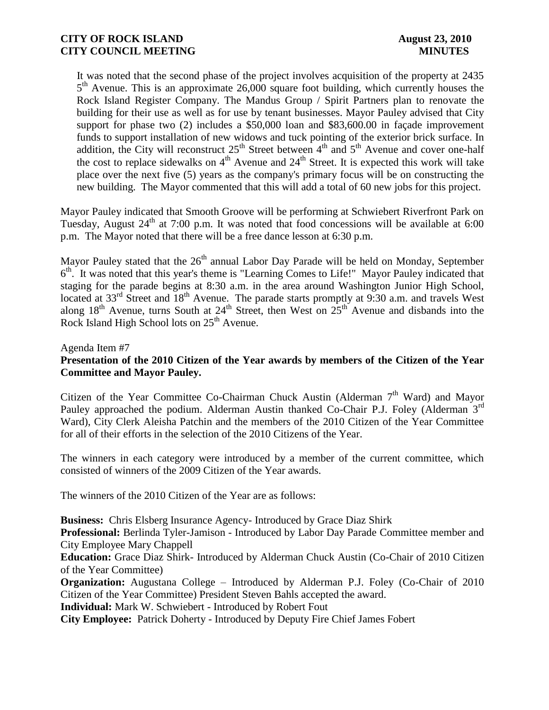It was noted that the second phase of the project involves acquisition of the property at 2435 5<sup>th</sup> Avenue. This is an approximate 26,000 square foot building, which currently houses the Rock Island Register Company. The Mandus Group / Spirit Partners plan to renovate the building for their use as well as for use by tenant businesses. Mayor Pauley advised that City support for phase two (2) includes a \$50,000 loan and \$83,600.00 in façade improvement funds to support installation of new widows and tuck pointing of the exterior brick surface. In addition, the City will reconstruct  $25<sup>th</sup>$  Street between  $4<sup>th</sup>$  and  $5<sup>th</sup>$  Avenue and cover one-half the cost to replace sidewalks on  $4<sup>th</sup>$  Avenue and  $24<sup>th</sup>$  Street. It is expected this work will take place over the next five (5) years as the company's primary focus will be on constructing the new building. The Mayor commented that this will add a total of 60 new jobs for this project.

Mayor Pauley indicated that Smooth Groove will be performing at Schwiebert Riverfront Park on Tuesday, August  $24<sup>th</sup>$  at 7:00 p.m. It was noted that food concessions will be available at 6:00 p.m. The Mayor noted that there will be a free dance lesson at 6:30 p.m.

Mayor Pauley stated that the 26<sup>th</sup> annual Labor Day Parade will be held on Monday, September 6<sup>th</sup>. It was noted that this year's theme is "Learning Comes to Life!" Mayor Pauley indicated that staging for the parade begins at 8:30 a.m. in the area around Washington Junior High School, located at 33<sup>rd</sup> Street and 18<sup>th</sup> Avenue. The parade starts promptly at 9:30 a.m. and travels West along  $18<sup>th</sup>$  Avenue, turns South at  $24<sup>th</sup>$  Street, then West on  $25<sup>th</sup>$  Avenue and disbands into the Rock Island High School lots on 25<sup>th</sup> Avenue.

### Agenda Item #7 **Presentation of the 2010 Citizen of the Year awards by members of the Citizen of the Year Committee and Mayor Pauley.**

Citizen of the Year Committee Co-Chairman Chuck Austin (Alderman  $7<sup>th</sup>$  Ward) and Mayor Pauley approached the podium. Alderman Austin thanked Co-Chair P.J. Foley (Alderman 3<sup>rd</sup> Ward), City Clerk Aleisha Patchin and the members of the 2010 Citizen of the Year Committee for all of their efforts in the selection of the 2010 Citizens of the Year.

The winners in each category were introduced by a member of the current committee, which consisted of winners of the 2009 Citizen of the Year awards.

The winners of the 2010 Citizen of the Year are as follows:

**Business:** Chris Elsberg Insurance Agency- Introduced by Grace Diaz Shirk

**Professional:** Berlinda Tyler-Jamison - Introduced by Labor Day Parade Committee member and City Employee Mary Chappell

**Education:** Grace Diaz Shirk- Introduced by Alderman Chuck Austin (Co-Chair of 2010 Citizen of the Year Committee)

**Organization:** Augustana College – Introduced by Alderman P.J. Foley (Co-Chair of 2010) Citizen of the Year Committee) President Steven Bahls accepted the award.

**Individual:** Mark W. Schwiebert - Introduced by Robert Fout

**City Employee:** Patrick Doherty - Introduced by Deputy Fire Chief James Fobert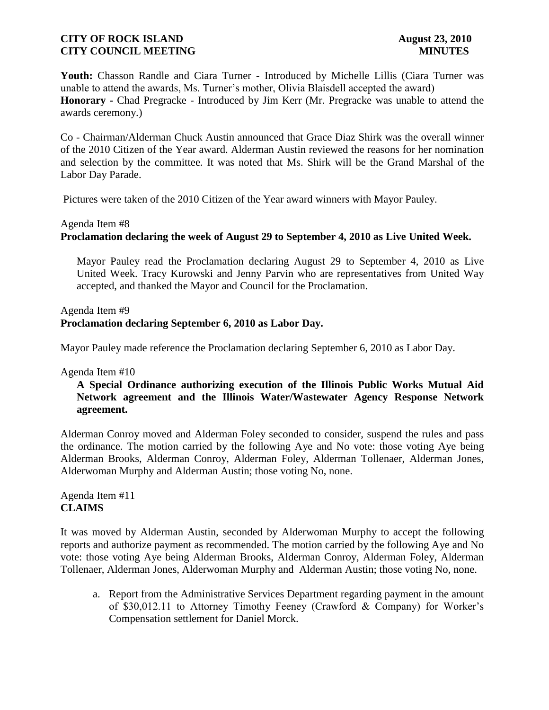Youth: Chasson Randle and Ciara Turner - Introduced by Michelle Lillis (Ciara Turner was unable to attend the awards, Ms. Turner's mother, Olivia Blaisdell accepted the award) **Honorary -** Chad Pregracke - Introduced by Jim Kerr (Mr. Pregracke was unable to attend the awards ceremony.)

Co - Chairman/Alderman Chuck Austin announced that Grace Diaz Shirk was the overall winner of the 2010 Citizen of the Year award. Alderman Austin reviewed the reasons for her nomination and selection by the committee. It was noted that Ms. Shirk will be the Grand Marshal of the Labor Day Parade.

Pictures were taken of the 2010 Citizen of the Year award winners with Mayor Pauley.

#### Agenda Item #8

### **Proclamation declaring the week of August 29 to September 4, 2010 as Live United Week.**

 Mayor Pauley read the Proclamation declaring August 29 to September 4, 2010 as Live United Week. Tracy Kurowski and Jenny Parvin who are representatives from United Way accepted, and thanked the Mayor and Council for the Proclamation.

### Agenda Item #9 **Proclamation declaring September 6, 2010 as Labor Day.**

Mayor Pauley made reference the Proclamation declaring September 6, 2010 as Labor Day.

### Agenda Item #10

### **A Special Ordinance authorizing execution of the Illinois Public Works Mutual Aid Network agreement and the Illinois Water/Wastewater Agency Response Network agreement.**

Alderman Conroy moved and Alderman Foley seconded to consider, suspend the rules and pass the ordinance. The motion carried by the following Aye and No vote: those voting Aye being Alderman Brooks, Alderman Conroy, Alderman Foley, Alderman Tollenaer, Alderman Jones, Alderwoman Murphy and Alderman Austin; those voting No, none.

### Agenda Item #11 **CLAIMS**

It was moved by Alderman Austin, seconded by Alderwoman Murphy to accept the following reports and authorize payment as recommended. The motion carried by the following Aye and No vote: those voting Aye being Alderman Brooks, Alderman Conroy, Alderman Foley, Alderman Tollenaer, Alderman Jones, Alderwoman Murphy and Alderman Austin; those voting No, none.

a. Report from the Administrative Services Department regarding payment in the amount of \$30,012.11 to Attorney Timothy Feeney (Crawford & Company) for Worker's Compensation settlement for Daniel Morck.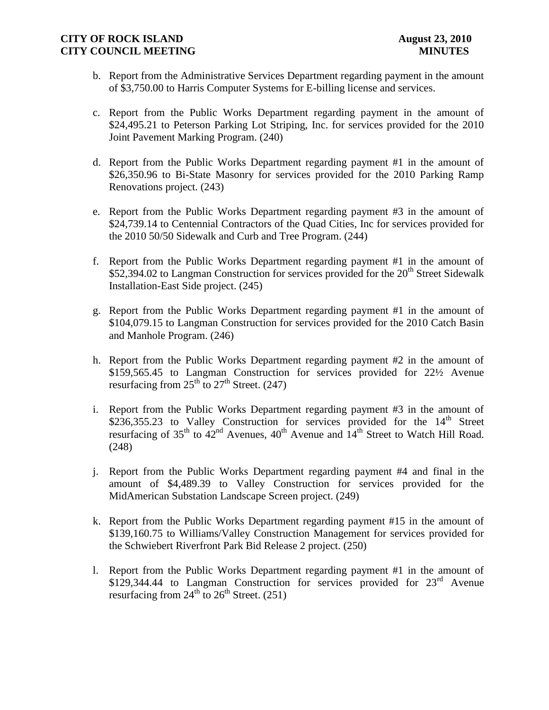- b. Report from the Administrative Services Department regarding payment in the amount of \$3,750.00 to Harris Computer Systems for E-billing license and services.
- c. Report from the Public Works Department regarding payment in the amount of \$24,495.21 to Peterson Parking Lot Striping, Inc. for services provided for the 2010 Joint Pavement Marking Program. (240)
- d. Report from the Public Works Department regarding payment #1 in the amount of \$26,350.96 to Bi-State Masonry for services provided for the 2010 Parking Ramp Renovations project. (243)
- e. Report from the Public Works Department regarding payment #3 in the amount of \$24,739.14 to Centennial Contractors of the Quad Cities, Inc for services provided for the 2010 50/50 Sidewalk and Curb and Tree Program. (244)
- f. Report from the Public Works Department regarding payment #1 in the amount of \$52,394.02 to Langman Construction for services provided for the  $20<sup>th</sup>$  Street Sidewalk Installation-East Side project. (245)
- g. Report from the Public Works Department regarding payment #1 in the amount of \$104,079.15 to Langman Construction for services provided for the 2010 Catch Basin and Manhole Program. (246)
- h. Report from the Public Works Department regarding payment #2 in the amount of \$159,565.45 to Langman Construction for services provided for 22½ Avenue resurfacing from  $25<sup>th</sup>$  to  $27<sup>th</sup>$  Street. (247)
- i. Report from the Public Works Department regarding payment #3 in the amount of  $$236,355.23$  to Valley Construction for services provided for the  $14<sup>th</sup>$  Street resurfacing of  $35<sup>th</sup>$  to  $42<sup>nd</sup>$  Avenues,  $40<sup>th</sup>$  Avenue and  $14<sup>th</sup>$  Street to Watch Hill Road. (248)
- j. Report from the Public Works Department regarding payment #4 and final in the amount of \$4,489.39 to Valley Construction for services provided for the MidAmerican Substation Landscape Screen project. (249)
- k. Report from the Public Works Department regarding payment #15 in the amount of \$139,160.75 to Williams/Valley Construction Management for services provided for the Schwiebert Riverfront Park Bid Release 2 project. (250)
- l. Report from the Public Works Department regarding payment #1 in the amount of \$129,344.44 to Langman Construction for services provided for  $23<sup>rd</sup>$  Avenue resurfacing from  $24^{th}$  to  $26^{th}$  Street. (251)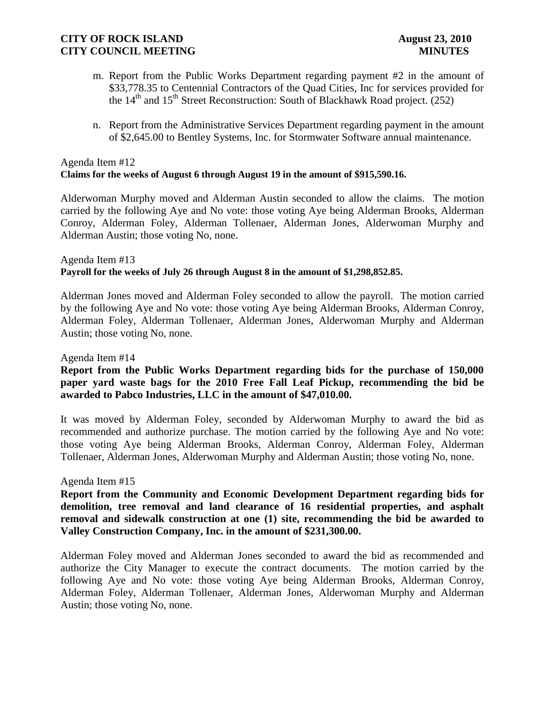- m. Report from the Public Works Department regarding payment #2 in the amount of \$33,778.35 to Centennial Contractors of the Quad Cities, Inc for services provided for the  $14<sup>th</sup>$  and  $15<sup>th</sup>$  Street Reconstruction: South of Blackhawk Road project. (252)
- n. Report from the Administrative Services Department regarding payment in the amount of \$2,645.00 to Bentley Systems, Inc. for Stormwater Software annual maintenance.

#### Agenda Item #12 **Claims for the weeks of August 6 through August 19 in the amount of \$915,590.16.**

Alderwoman Murphy moved and Alderman Austin seconded to allow the claims. The motion carried by the following Aye and No vote: those voting Aye being Alderman Brooks, Alderman Conroy, Alderman Foley, Alderman Tollenaer, Alderman Jones, Alderwoman Murphy and Alderman Austin; those voting No, none.

#### Agenda Item #13 **Payroll for the weeks of July 26 through August 8 in the amount of \$1,298,852.85.**

Alderman Jones moved and Alderman Foley seconded to allow the payroll. The motion carried by the following Aye and No vote: those voting Aye being Alderman Brooks, Alderman Conroy, Alderman Foley, Alderman Tollenaer, Alderman Jones, Alderwoman Murphy and Alderman Austin; those voting No, none.

### Agenda Item #14

## **Report from the Public Works Department regarding bids for the purchase of 150,000 paper yard waste bags for the 2010 Free Fall Leaf Pickup, recommending the bid be awarded to Pabco Industries, LLC in the amount of \$47,010.00.**

It was moved by Alderman Foley, seconded by Alderwoman Murphy to award the bid as recommended and authorize purchase. The motion carried by the following Aye and No vote: those voting Aye being Alderman Brooks, Alderman Conroy, Alderman Foley, Alderman Tollenaer, Alderman Jones, Alderwoman Murphy and Alderman Austin; those voting No, none.

### Agenda Item #15

**Report from the Community and Economic Development Department regarding bids for demolition, tree removal and land clearance of 16 residential properties, and asphalt removal and sidewalk construction at one (1) site, recommending the bid be awarded to Valley Construction Company, Inc. in the amount of \$231,300.00.**

Alderman Foley moved and Alderman Jones seconded to award the bid as recommended and authorize the City Manager to execute the contract documents. The motion carried by the following Aye and No vote: those voting Aye being Alderman Brooks, Alderman Conroy, Alderman Foley, Alderman Tollenaer, Alderman Jones, Alderwoman Murphy and Alderman Austin; those voting No, none.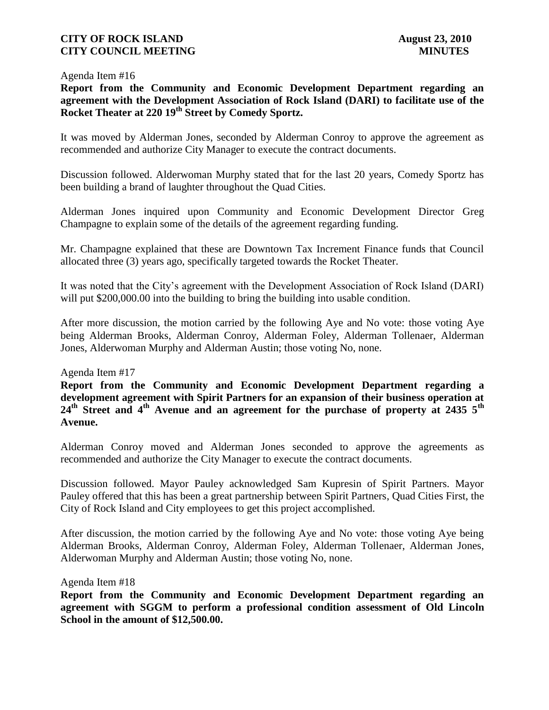#### Agenda Item #16

**Report from the Community and Economic Development Department regarding an agreement with the Development Association of Rock Island (DARI) to facilitate use of the Rocket Theater at 220 19th Street by Comedy Sportz.**

It was moved by Alderman Jones, seconded by Alderman Conroy to approve the agreement as recommended and authorize City Manager to execute the contract documents.

Discussion followed. Alderwoman Murphy stated that for the last 20 years, Comedy Sportz has been building a brand of laughter throughout the Quad Cities.

Alderman Jones inquired upon Community and Economic Development Director Greg Champagne to explain some of the details of the agreement regarding funding.

Mr. Champagne explained that these are Downtown Tax Increment Finance funds that Council allocated three (3) years ago, specifically targeted towards the Rocket Theater.

It was noted that the City's agreement with the Development Association of Rock Island (DARI) will put \$200,000.00 into the building to bring the building into usable condition.

After more discussion, the motion carried by the following Aye and No vote: those voting Aye being Alderman Brooks, Alderman Conroy, Alderman Foley, Alderman Tollenaer, Alderman Jones, Alderwoman Murphy and Alderman Austin; those voting No, none.

### Agenda Item #17

**Report from the Community and Economic Development Department regarding a development agreement with Spirit Partners for an expansion of their business operation at 24th Street and 4th Avenue and an agreement for the purchase of property at 2435 5th Avenue.**

Alderman Conroy moved and Alderman Jones seconded to approve the agreements as recommended and authorize the City Manager to execute the contract documents.

Discussion followed. Mayor Pauley acknowledged Sam Kupresin of Spirit Partners. Mayor Pauley offered that this has been a great partnership between Spirit Partners, Quad Cities First, the City of Rock Island and City employees to get this project accomplished.

After discussion, the motion carried by the following Aye and No vote: those voting Aye being Alderman Brooks, Alderman Conroy, Alderman Foley, Alderman Tollenaer, Alderman Jones, Alderwoman Murphy and Alderman Austin; those voting No, none.

Agenda Item #18

**Report from the Community and Economic Development Department regarding an agreement with SGGM to perform a professional condition assessment of Old Lincoln School in the amount of \$12,500.00.**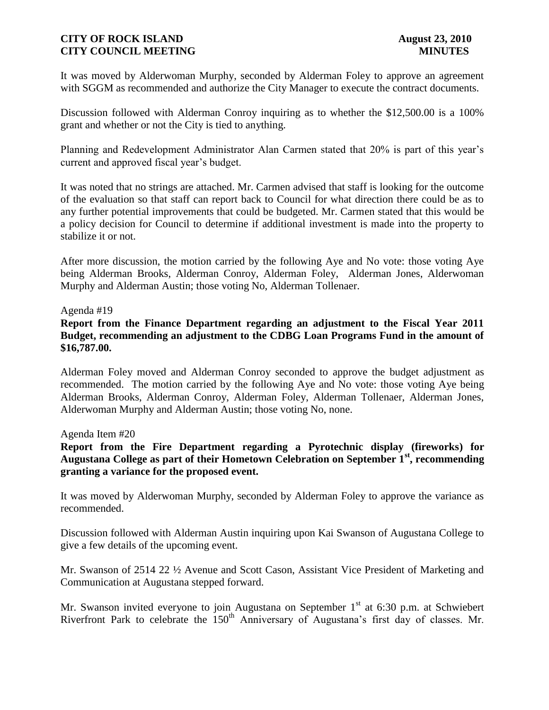It was moved by Alderwoman Murphy, seconded by Alderman Foley to approve an agreement with SGGM as recommended and authorize the City Manager to execute the contract documents.

Discussion followed with Alderman Conroy inquiring as to whether the \$12,500.00 is a 100% grant and whether or not the City is tied to anything.

Planning and Redevelopment Administrator Alan Carmen stated that 20% is part of this year's current and approved fiscal year's budget.

It was noted that no strings are attached. Mr. Carmen advised that staff is looking for the outcome of the evaluation so that staff can report back to Council for what direction there could be as to any further potential improvements that could be budgeted. Mr. Carmen stated that this would be a policy decision for Council to determine if additional investment is made into the property to stabilize it or not.

After more discussion, the motion carried by the following Aye and No vote: those voting Aye being Alderman Brooks, Alderman Conroy, Alderman Foley, Alderman Jones, Alderwoman Murphy and Alderman Austin; those voting No, Alderman Tollenaer.

### Agenda #19

### **Report from the Finance Department regarding an adjustment to the Fiscal Year 2011 Budget, recommending an adjustment to the CDBG Loan Programs Fund in the amount of \$16,787.00.**

Alderman Foley moved and Alderman Conroy seconded to approve the budget adjustment as recommended. The motion carried by the following Aye and No vote: those voting Aye being Alderman Brooks, Alderman Conroy, Alderman Foley, Alderman Tollenaer, Alderman Jones, Alderwoman Murphy and Alderman Austin; those voting No, none.

#### Agenda Item #20

**Report from the Fire Department regarding a Pyrotechnic display (fireworks) for Augustana College as part of their Hometown Celebration on September 1st, recommending granting a variance for the proposed event.**

It was moved by Alderwoman Murphy, seconded by Alderman Foley to approve the variance as recommended.

Discussion followed with Alderman Austin inquiring upon Kai Swanson of Augustana College to give a few details of the upcoming event.

Mr. Swanson of 2514 22 ½ Avenue and Scott Cason, Assistant Vice President of Marketing and Communication at Augustana stepped forward.

Mr. Swanson invited everyone to join Augustana on September  $1<sup>st</sup>$  at 6:30 p.m. at Schwiebert Riverfront Park to celebrate the  $150<sup>th</sup>$  Anniversary of Augustana's first day of classes. Mr.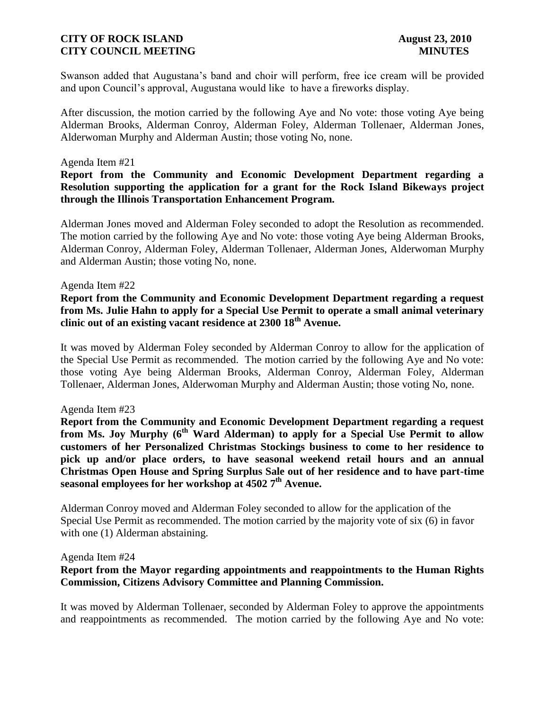Swanson added that Augustana's band and choir will perform, free ice cream will be provided and upon Council's approval, Augustana would like to have a fireworks display.

After discussion, the motion carried by the following Aye and No vote: those voting Aye being Alderman Brooks, Alderman Conroy, Alderman Foley, Alderman Tollenaer, Alderman Jones, Alderwoman Murphy and Alderman Austin; those voting No, none.

#### Agenda Item #21

### **Report from the Community and Economic Development Department regarding a Resolution supporting the application for a grant for the Rock Island Bikeways project through the Illinois Transportation Enhancement Program.**

Alderman Jones moved and Alderman Foley seconded to adopt the Resolution as recommended. The motion carried by the following Aye and No vote: those voting Aye being Alderman Brooks, Alderman Conroy, Alderman Foley, Alderman Tollenaer, Alderman Jones, Alderwoman Murphy and Alderman Austin; those voting No, none.

#### Agenda Item #22

### **Report from the Community and Economic Development Department regarding a request from Ms. Julie Hahn to apply for a Special Use Permit to operate a small animal veterinary clinic out of an existing vacant residence at 2300 18th Avenue.**

It was moved by Alderman Foley seconded by Alderman Conroy to allow for the application of the Special Use Permit as recommended. The motion carried by the following Aye and No vote: those voting Aye being Alderman Brooks, Alderman Conroy, Alderman Foley, Alderman Tollenaer, Alderman Jones, Alderwoman Murphy and Alderman Austin; those voting No, none.

#### Agenda Item #23

**Report from the Community and Economic Development Department regarding a request from Ms. Joy Murphy (6th Ward Alderman) to apply for a Special Use Permit to allow customers of her Personalized Christmas Stockings business to come to her residence to pick up and/or place orders, to have seasonal weekend retail hours and an annual Christmas Open House and Spring Surplus Sale out of her residence and to have part-time seasonal employees for her workshop at 4502 7th Avenue.**

Alderman Conroy moved and Alderman Foley seconded to allow for the application of the Special Use Permit as recommended. The motion carried by the majority vote of six (6) in favor with one  $(1)$  Alderman abstaining.

#### Agenda Item #24

### **Report from the Mayor regarding appointments and reappointments to the Human Rights Commission, Citizens Advisory Committee and Planning Commission.**

It was moved by Alderman Tollenaer, seconded by Alderman Foley to approve the appointments and reappointments as recommended. The motion carried by the following Aye and No vote: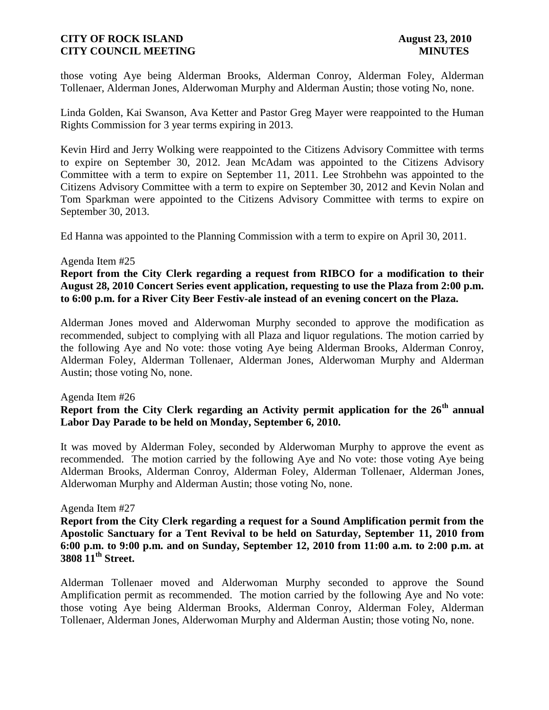those voting Aye being Alderman Brooks, Alderman Conroy, Alderman Foley, Alderman Tollenaer, Alderman Jones, Alderwoman Murphy and Alderman Austin; those voting No, none.

Linda Golden, Kai Swanson, Ava Ketter and Pastor Greg Mayer were reappointed to the Human Rights Commission for 3 year terms expiring in 2013.

Kevin Hird and Jerry Wolking were reappointed to the Citizens Advisory Committee with terms to expire on September 30, 2012. Jean McAdam was appointed to the Citizens Advisory Committee with a term to expire on September 11, 2011. Lee Strohbehn was appointed to the Citizens Advisory Committee with a term to expire on September 30, 2012 and Kevin Nolan and Tom Sparkman were appointed to the Citizens Advisory Committee with terms to expire on September 30, 2013.

Ed Hanna was appointed to the Planning Commission with a term to expire on April 30, 2011.

#### Agenda Item #25

**Report from the City Clerk regarding a request from RIBCO for a modification to their August 28, 2010 Concert Series event application, requesting to use the Plaza from 2:00 p.m. to 6:00 p.m. for a River City Beer Festiv-ale instead of an evening concert on the Plaza.**

Alderman Jones moved and Alderwoman Murphy seconded to approve the modification as recommended, subject to complying with all Plaza and liquor regulations. The motion carried by the following Aye and No vote: those voting Aye being Alderman Brooks, Alderman Conroy, Alderman Foley, Alderman Tollenaer, Alderman Jones, Alderwoman Murphy and Alderman Austin; those voting No, none.

#### Agenda Item #26

## **Report from the City Clerk regarding an Activity permit application for the 26th annual Labor Day Parade to be held on Monday, September 6, 2010.**

It was moved by Alderman Foley, seconded by Alderwoman Murphy to approve the event as recommended. The motion carried by the following Aye and No vote: those voting Aye being Alderman Brooks, Alderman Conroy, Alderman Foley, Alderman Tollenaer, Alderman Jones, Alderwoman Murphy and Alderman Austin; those voting No, none.

### Agenda Item #27

**Report from the City Clerk regarding a request for a Sound Amplification permit from the Apostolic Sanctuary for a Tent Revival to be held on Saturday, September 11, 2010 from 6:00 p.m. to 9:00 p.m. and on Sunday, September 12, 2010 from 11:00 a.m. to 2:00 p.m. at 3808 11th Street.**

Alderman Tollenaer moved and Alderwoman Murphy seconded to approve the Sound Amplification permit as recommended. The motion carried by the following Aye and No vote: those voting Aye being Alderman Brooks, Alderman Conroy, Alderman Foley, Alderman Tollenaer, Alderman Jones, Alderwoman Murphy and Alderman Austin; those voting No, none.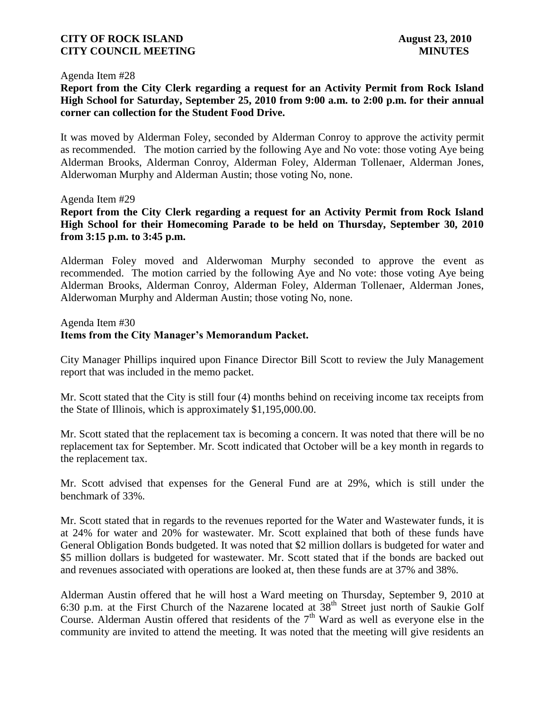#### Agenda Item #28

**Report from the City Clerk regarding a request for an Activity Permit from Rock Island High School for Saturday, September 25, 2010 from 9:00 a.m. to 2:00 p.m. for their annual corner can collection for the Student Food Drive.** 

It was moved by Alderman Foley, seconded by Alderman Conroy to approve the activity permit as recommended. The motion carried by the following Aye and No vote: those voting Aye being Alderman Brooks, Alderman Conroy, Alderman Foley, Alderman Tollenaer, Alderman Jones, Alderwoman Murphy and Alderman Austin; those voting No, none.

Agenda Item #29

**Report from the City Clerk regarding a request for an Activity Permit from Rock Island High School for their Homecoming Parade to be held on Thursday, September 30, 2010 from 3:15 p.m. to 3:45 p.m.**

Alderman Foley moved and Alderwoman Murphy seconded to approve the event as recommended. The motion carried by the following Aye and No vote: those voting Aye being Alderman Brooks, Alderman Conroy, Alderman Foley, Alderman Tollenaer, Alderman Jones, Alderwoman Murphy and Alderman Austin; those voting No, none.

Agenda Item #30

### **Items from the City Manager's Memorandum Packet.**

City Manager Phillips inquired upon Finance Director Bill Scott to review the July Management report that was included in the memo packet.

Mr. Scott stated that the City is still four (4) months behind on receiving income tax receipts from the State of Illinois, which is approximately \$1,195,000.00.

Mr. Scott stated that the replacement tax is becoming a concern. It was noted that there will be no replacement tax for September. Mr. Scott indicated that October will be a key month in regards to the replacement tax.

Mr. Scott advised that expenses for the General Fund are at 29%, which is still under the benchmark of 33%.

Mr. Scott stated that in regards to the revenues reported for the Water and Wastewater funds, it is at 24% for water and 20% for wastewater. Mr. Scott explained that both of these funds have General Obligation Bonds budgeted. It was noted that \$2 million dollars is budgeted for water and \$5 million dollars is budgeted for wastewater. Mr. Scott stated that if the bonds are backed out and revenues associated with operations are looked at, then these funds are at 37% and 38%.

Alderman Austin offered that he will host a Ward meeting on Thursday, September 9, 2010 at 6:30 p.m. at the First Church of the Nazarene located at  $38<sup>th</sup>$  Street just north of Saukie Golf Course. Alderman Austin offered that residents of the 7<sup>th</sup> Ward as well as everyone else in the community are invited to attend the meeting. It was noted that the meeting will give residents an